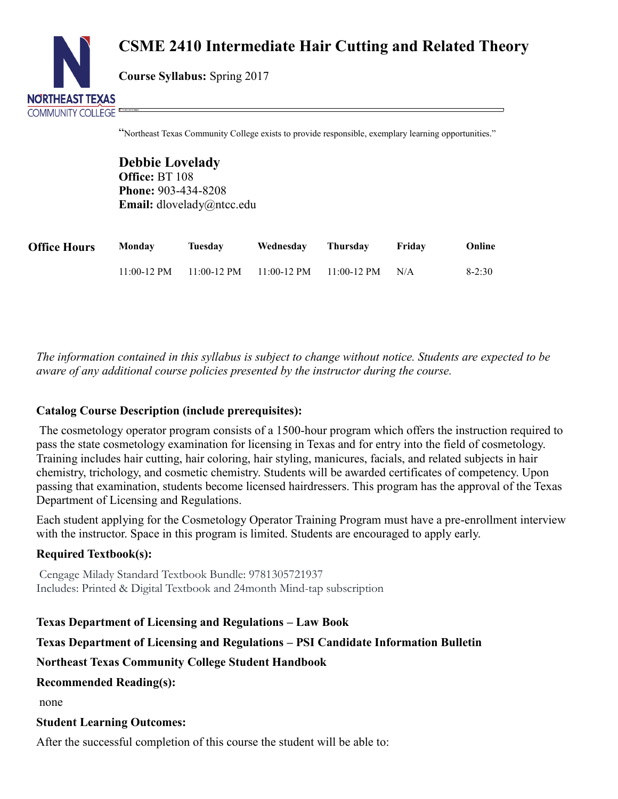

# **CSME 2410 Intermediate Hair Cutting and Related Theory**

**Course Syllabus:** Spring 2017

"Northeast Texas Community College exists to provide responsible, exemplary learning opportunities."

**Debbie Lovelady Office:** BT 108 **Phone:** 903-434-8208 **Email:** dlovelady@ntcc.edu

| <b>Office Hours</b> | Monday        | Tuesday | Wednesday                                     | Thursday | Fridav | Online   |
|---------------------|---------------|---------|-----------------------------------------------|----------|--------|----------|
|                     | $11:00-12$ PM |         | $11:00-12$ PM $11:00-12$ PM $11:00-12$ PM N/A |          |        | $8-2:30$ |

*The information contained in this syllabus is subject to change without notice. Students are expected to be aware of any additional course policies presented by the instructor during the course.*

## **Catalog Course Description (include prerequisites):**

The cosmetology operator program consists of a 1500-hour program which offers the instruction required to pass the state cosmetology examination for licensing in Texas and for entry into the field of cosmetology. Training includes hair cutting, hair coloring, hair styling, manicures, facials, and related subjects in hair chemistry, trichology, and cosmetic chemistry. Students will be awarded certificates of competency. Upon passing that examination, students become licensed hairdressers. This program has the approval of the Texas Department of Licensing and Regulations.

Each student applying for the Cosmetology Operator Training Program must have a pre-enrollment interview with the instructor. Space in this program is limited. Students are encouraged to apply early.

## **Required Textbook(s):**

Cengage Milady Standard Textbook Bundle: 9781305721937 Includes: Printed & Digital Textbook and 24month Mind-tap subscription

**Texas Department of Licensing and Regulations – Law Book**

**Texas Department of Licensing and Regulations – PSI Candidate Information Bulletin**

### **Northeast Texas Community College Student Handbook**

**Recommended Reading(s):**

none

### **Student Learning Outcomes:**

After the successful completion of this course the student will be able to: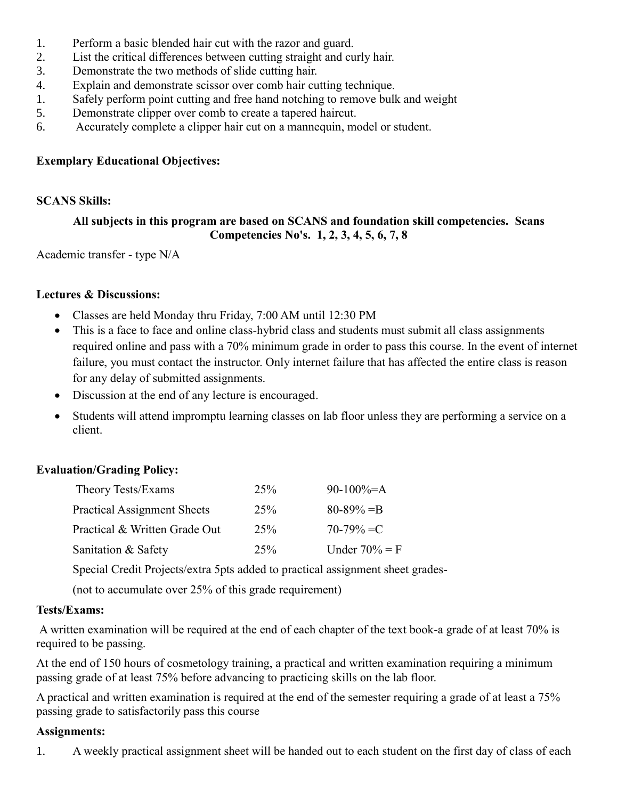- 1. Perform a basic blended hair cut with the razor and guard.
- 2. List the critical differences between cutting straight and curly hair.
- 3. Demonstrate the two methods of slide cutting hair.
- 4. Explain and demonstrate scissor over comb hair cutting technique.
- 1. Safely perform point cutting and free hand notching to remove bulk and weight
- 5. Demonstrate clipper over comb to create a tapered haircut.
- 6. Accurately complete a clipper hair cut on a mannequin, model or student.

## **Exemplary Educational Objectives:**

## **SCANS Skills:**

# **All subjects in this program are based on SCANS and foundation skill competencies. Scans Competencies No's. 1, 2, 3, 4, 5, 6, 7, 8**

Academic transfer - type N/A

## **Lectures & Discussions:**

- Classes are held Monday thru Friday, 7:00 AM until 12:30 PM
- This is a face to face and online class-hybrid class and students must submit all class assignments required online and pass with a 70% minimum grade in order to pass this course. In the event of internet failure, you must contact the instructor. Only internet failure that has affected the entire class is reason for any delay of submitted assignments.
- Discussion at the end of any lecture is encouraged.
- Students will attend impromptu learning classes on lab floor unless they are performing a service on a client.

# **Evaluation/Grading Policy:**

| Theory Tests/Exams                 | 25% | 90-100%=A        |
|------------------------------------|-----|------------------|
| <b>Practical Assignment Sheets</b> | 25% | $80 - 89\% = B$  |
| Practical & Written Grade Out      | 25% | $70-79\% = C$    |
| Sanitation & Safety                | 25% | Under $70\% = F$ |

Special Credit Projects/extra 5pts added to practical assignment sheet grades-

(not to accumulate over 25% of this grade requirement)

## **Tests/Exams:**

A written examination will be required at the end of each chapter of the text book-a grade of at least 70% is required to be passing.

At the end of 150 hours of cosmetology training, a practical and written examination requiring a minimum passing grade of at least 75% before advancing to practicing skills on the lab floor.

A practical and written examination is required at the end of the semester requiring a grade of at least a 75% passing grade to satisfactorily pass this course

## **Assignments:**

1. A weekly practical assignment sheet will be handed out to each student on the first day of class of each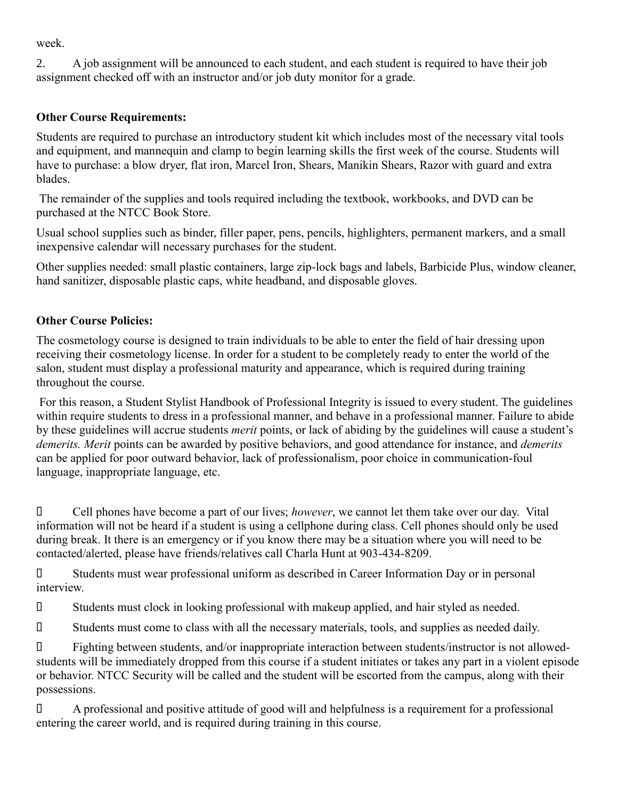week.

2. A job assignment will be announced to each student, and each student is required to have their job assignment checked off with an instructor and/or job duty monitor for a grade.

# **Other Course Requirements:**

Students are required to purchase an introductory student kit which includes most of the necessary vital tools and equipment, and mannequin and clamp to begin learning skills the first week of the course. Students will have to purchase: a blow dryer, flat iron, Marcel Iron, Shears, Manikin Shears, Razor with guard and extra blades.

The remainder of the supplies and tools required including the textbook, workbooks, and DVD can be purchased at the NTCC Book Store.

Usual school supplies such as binder, filler paper, pens, pencils, highlighters, permanent markers, and a small inexpensive calendar will necessary purchases for the student.

Other supplies needed: small plastic containers, large zip-lock bags and labels, Barbicide Plus, window cleaner, hand sanitizer, disposable plastic caps, white headband, and disposable gloves.

# **Other Course Policies:**

The cosmetology course is designed to train individuals to be able to enter the field of hair dressing upon receiving their cosmetology license. In order for a student to be completely ready to enter the world of the salon, student must display a professional maturity and appearance, which is required during training throughout the course.

For this reason, a Student Stylist Handbook of Professional Integrity is issued to every student. The guidelines within require students to dress in a professional manner, and behave in a professional manner. Failure to abide by these guidelines will accrue students *merit* points, or lack of abiding by the guidelines will cause a student's *demerits. Merit* points can be awarded by positive behaviors, and good attendance for instance, and *demerits* can be applied for poor outward behavior, lack of professionalism, poor choice in communication-foul language, inappropriate language, etc.

 Cell phones have become a part of our lives; *however*, we cannot let them take over our day. Vital information will not be heard if a student is using a cellphone during class. Cell phones should only be used during break. It there is an emergency or if you know there may be a situation where you will need to be contacted/alerted, please have friends/relatives call Charla Hunt at 903-434-8209.

 Students must wear professional uniform as described in Career Information Day or in personal interview.

Students must clock in looking professional with makeup applied, and hair styled as needed.

Students must come to class with all the necessary materials, tools, and supplies as needed daily.

 Fighting between students, and/or inappropriate interaction between students/instructor is not allowedstudents will be immediately dropped from this course if a student initiates or takes any part in a violent episode or behavior. NTCC Security will be called and the student will be escorted from the campus, along with their possessions.

 A professional and positive attitude of good will and helpfulness is a requirement for a professional entering the career world, and is required during training in this course.